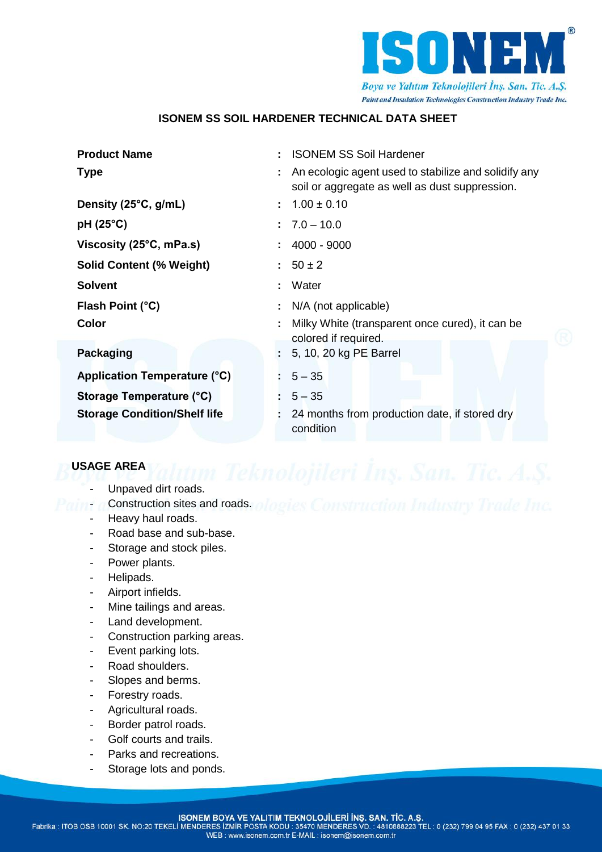

# **ISONEM SS SOIL HARDENER TECHNICAL DATA SHEET**

| <b>Product Name</b>                 |    | <b>ISONEM SS Soil Hardener</b>                                                                         |
|-------------------------------------|----|--------------------------------------------------------------------------------------------------------|
| <b>Type</b>                         |    | An ecologic agent used to stabilize and solidify any<br>soil or aggregate as well as dust suppression. |
| Density (25°C, g/mL)                | ÷. | $1.00 \pm 0.10$                                                                                        |
| $pH(25^{\circ}C)$                   |    | $: 7.0 - 10.0$                                                                                         |
| Viscosity (25°C, mPa.s)             |    | 4000 - 9000                                                                                            |
| <b>Solid Content (% Weight)</b>     |    | $50 \pm 2$                                                                                             |
| <b>Solvent</b>                      |    | Water                                                                                                  |
| Flash Point (°C)                    |    | N/A (not applicable)                                                                                   |
| <b>Color</b>                        |    | Milky White (transparent once cured), it can be                                                        |
|                                     |    | colored if required.                                                                                   |
| Packaging                           |    | 5, 10, 20 kg PE Barrel                                                                                 |
| Application Temperature (°C)        |    | $5 - 35$                                                                                               |
| <b>Storage Temperature (°C)</b>     |    | $5 - 35$                                                                                               |
| <b>Storage Condition/Shelf life</b> |    | 24 months from production date, if stored dry<br>condition                                             |

# **USAGE AREA**

- E AREA *International Teknolojileri İnş. San. Tic. A.S.*<br>Unpaved dirt roads.
- aint a Construction sites and roads: ologies Construction Industry Trade Inc.
	- Heavy haul roads.
	- Road base and sub-base.
	- Storage and stock piles.
	- Power plants.
	- Helipads.
	- Airport infields.
	- Mine tailings and areas.
	- Land development.
	- Construction parking areas.
	- Event parking lots.
	- Road shoulders.
	- Slopes and berms.
	- Forestry roads.
	- Agricultural roads.
	- Border patrol roads.
	- Golf courts and trails.
	- Parks and recreations.
	- Storage lots and ponds.